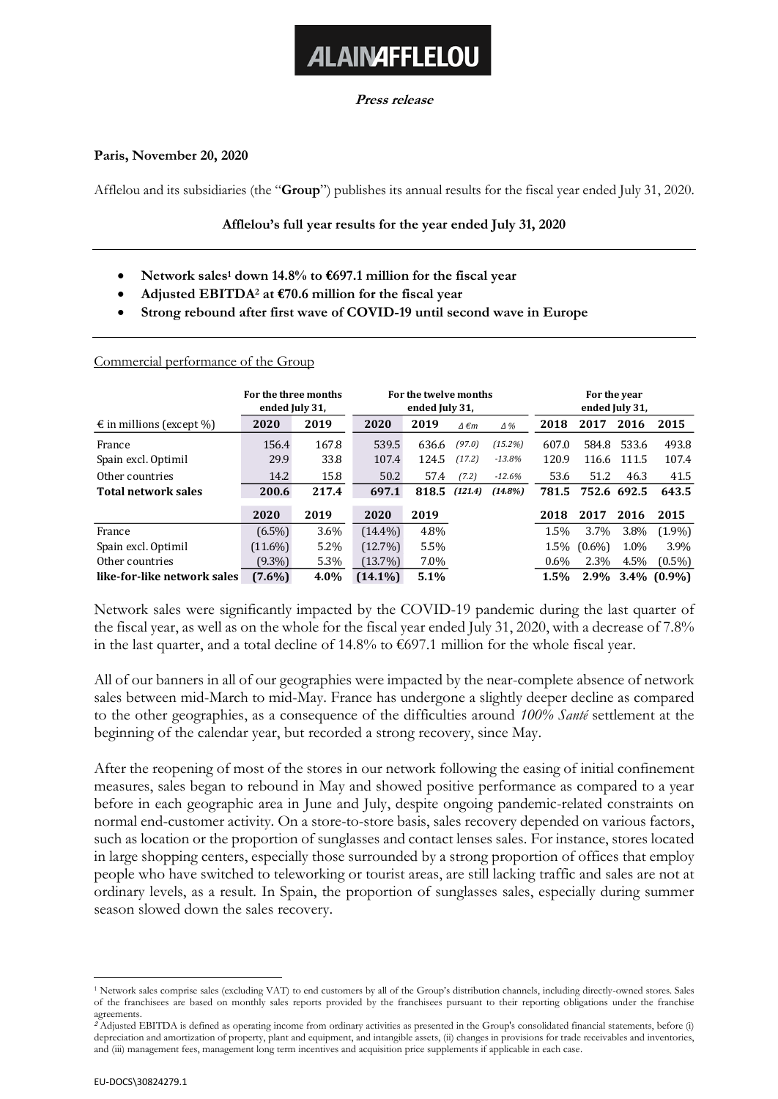**Press release**

**ALAINAFFLELOU** 

## **Paris, November 20, 2020**

Afflelou and its subsidiaries (the "**Group**") publishes its annual results for the fiscal year ended July 31, 2020.

## **Afflelou's full year results for the year ended July 31, 2020**

- **Network sales<sup>1</sup> down 14.8% to €697.1 million for the fiscal year**
- **Adjusted EBITDA<sup>2</sup> at €70.6 million for the fiscal year**
- **Strong rebound after first wave of COVID-19 until second wave in Europe**

Commercial performance of the Group

|                                   | For the three months<br>ended July 31, |       | For the twelve months<br>ended July 31, |       |                     |            | For the year<br>ended July 31, |             |       |                |
|-----------------------------------|----------------------------------------|-------|-----------------------------------------|-------|---------------------|------------|--------------------------------|-------------|-------|----------------|
| $\epsilon$ in millions (except %) | 2020                                   | 2019  | 2020                                    | 2019  | $\Delta \epsilon m$ | $\Delta\%$ | 2018                           | 2017        | 2016  | 2015           |
| France                            | 156.4                                  | 167.8 | 539.5                                   | 636.6 | (97.0)              | (15.2%)    | 607.0                          | 584.8       | 533.6 | 493.8          |
| Spain excl. Optimil               | 29.9                                   | 33.8  | 107.4                                   | 124.5 | (17.2)              | $-13.8\%$  | 120.9                          | 116.6       | 111.5 | 107.4          |
| Other countries                   | 14.2                                   | 15.8  | 50.2                                    | 57.4  | (7.2)               | $-12.6%$   | 53.6                           | 51.2        | 46.3  | 41.5           |
| <b>Total network sales</b>        | 200.6                                  | 217.4 | 697.1                                   | 818.5 | (121.4)             | $(14.8\%)$ | 781.5                          | 752.6 692.5 |       | 643.5          |
|                                   | 2020                                   | 2019  | 2020                                    | 2019  |                     |            | 2018                           | 2017        | 2016  | 2015           |
| France                            | $(6.5\%)$                              | 3.6%  | $(14.4\%)$                              | 4.8%  |                     |            | 1.5%                           | 3.7%        | 3.8%  | $(1.9\%)$      |
| Spain excl. Optimil               | $(11.6\%)$                             | 5.2%  | $(12.7\%)$                              | 5.5%  |                     |            | 1.5%                           | $(0.6\%)$   | 1.0%  | 3.9%           |
| Other countries                   | $(9.3\%)$                              | 5.3%  | $(13.7\%)$                              | 7.0%  |                     |            | $0.6\%$                        | 2.3%        | 4.5%  | $(0.5\%)$      |
| like-for-like network sales       | $(7.6\%)$                              | 4.0%  | $(14.1\%)$                              | 5.1%  |                     |            | 1.5%                           | 2.9%        |       | $3.4\%$ (0.9%) |

Network sales were significantly impacted by the COVID-19 pandemic during the last quarter of the fiscal year, as well as on the whole for the fiscal year ended July 31, 2020, with a decrease of 7.8% in the last quarter, and a total decline of 14.8% to €697.1 million for the whole fiscal year.

All of our banners in all of our geographies were impacted by the near-complete absence of network sales between mid-March to mid-May. France has undergone a slightly deeper decline as compared to the other geographies, as a consequence of the difficulties around *100% Santé* settlement at the beginning of the calendar year, but recorded a strong recovery, since May.

After the reopening of most of the stores in our network following the easing of initial confinement measures, sales began to rebound in May and showed positive performance as compared to a year before in each geographic area in June and July, despite ongoing pandemic-related constraints on normal end-customer activity. On a store-to-store basis, sales recovery depended on various factors, such as location or the proportion of sunglasses and contact lenses sales. For instance, stores located in large shopping centers, especially those surrounded by a strong proportion of offices that employ people who have switched to teleworking or tourist areas, are still lacking traffic and sales are not at ordinary levels, as a result. In Spain, the proportion of sunglasses sales, especially during summer season slowed down the sales recovery.

<sup>1</sup> Network sales comprise sales (excluding VAT) to end customers by all of the Group's distribution channels, including directly-owned stores. Sales of the franchisees are based on monthly sales reports provided by the franchisees pursuant to their reporting obligations under the franchise agreements.

**<sup>2</sup>** Adjusted EBITDA is defined as operating income from ordinary activities as presented in the Group's consolidated financial statements, before (i) depreciation and amortization of property, plant and equipment, and intangible assets, (ii) changes in provisions for trade receivables and inventories, and (iii) management fees, management long term incentives and acquisition price supplements if applicable in each case.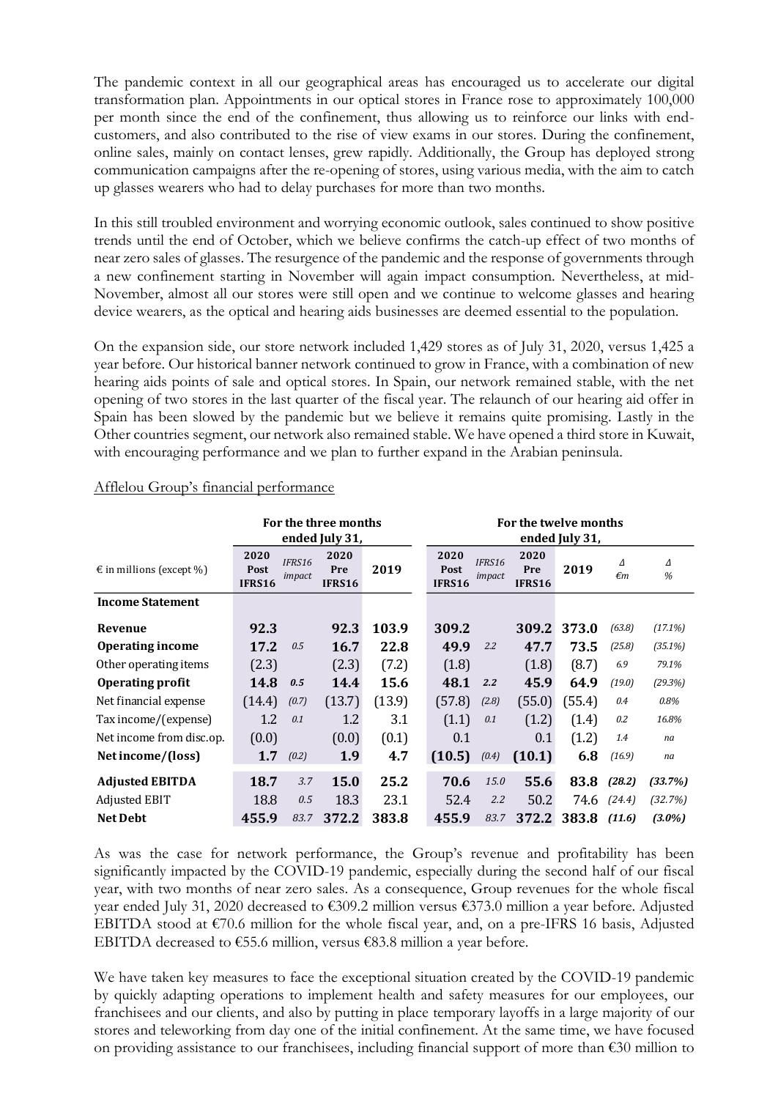The pandemic context in all our geographical areas has encouraged us to accelerate our digital transformation plan. Appointments in our optical stores in France rose to approximately 100,000 per month since the end of the confinement, thus allowing us to reinforce our links with endcustomers, and also contributed to the rise of view exams in our stores. During the confinement, online sales, mainly on contact lenses, grew rapidly. Additionally, the Group has deployed strong communication campaigns after the re-opening of stores, using various media, with the aim to catch up glasses wearers who had to delay purchases for more than two months.

In this still troubled environment and worrying economic outlook, sales continued to show positive trends until the end of October, which we believe confirms the catch-up effect of two months of near zero sales of glasses. The resurgence of the pandemic and the response of governments through a new confinement starting in November will again impact consumption. Nevertheless, at mid-November, almost all our stores were still open and we continue to welcome glasses and hearing device wearers, as the optical and hearing aids businesses are deemed essential to the population.

On the expansion side, our store network included 1,429 stores as of July 31, 2020, versus 1,425 a year before. Our historical banner network continued to grow in France, with a combination of new hearing aids points of sale and optical stores. In Spain, our network remained stable, with the net opening of two stores in the last quarter of the fiscal year. The relaunch of our hearing aid offer in Spain has been slowed by the pandemic but we believe it remains quite promising. Lastly in the Other countries segment, our network also remained stable. We have opened a third store in Kuwait, with encouraging performance and we plan to further expand in the Arabian peninsula.

|                                   | For the three months<br>ended July 31, |                  |                       |        | For the twelve months<br>ended July 31, |                  |                       |        |                   |            |  |
|-----------------------------------|----------------------------------------|------------------|-----------------------|--------|-----------------------------------------|------------------|-----------------------|--------|-------------------|------------|--|
| $\epsilon$ in millions (except %) | 2020<br>Post<br>IFRS16                 | IFRS16<br>impact | 2020<br>Pre<br>IFRS16 | 2019   | 2020<br>Post<br><b>IFRS16</b>           | IFRS16<br>impact | 2020<br>Pre<br>IFRS16 | 2019   | Δ<br>$\epsilon$ m | Δ<br>%     |  |
| <b>Income Statement</b>           |                                        |                  |                       |        |                                         |                  |                       |        |                   |            |  |
| Revenue                           | 92.3                                   |                  | 92.3                  | 103.9  | 309.2                                   |                  | 309.2                 | 373.0  | (63.8)            | (17.1%)    |  |
| Operating income                  | 17.2                                   | 0.5              | 16.7                  | 22.8   | 49.9                                    | 2.2              | 47.7                  | 73.5   | (25.8)            | $(35.1\%)$ |  |
| Other operating items             | (2.3)                                  |                  | (2.3)                 | (7.2)  | (1.8)                                   |                  | (1.8)                 | (8.7)  | 6.9               | 79.1%      |  |
| Operating profit                  | 14.8                                   | 0.5              | 14.4                  | 15.6   | 48.1                                    | 2.2              | 45.9                  | 64.9   | (19.0)            | (29.3%)    |  |
| Net financial expense             | (14.4)                                 | (0.7)            | (13.7)                | (13.9) | (57.8)                                  | (2.8)            | (55.0)                | (55.4) | 0.4               | 0.8%       |  |
| Tax income/(expense)              | 1.2                                    | 0.1              | 1.2                   | 3.1    | (1.1)                                   | 0.1              | (1.2)                 | (1.4)  | 0.2               | 16.8%      |  |
| Net income from disc.op.          | (0.0)                                  |                  | (0.0)                 | (0.1)  | 0.1                                     |                  | 0.1                   | (1.2)  | 1.4               | na         |  |
| Net income/(loss)                 | 1.7                                    | (0.2)            | 1.9                   | 4.7    | (10.5)                                  | (0.4)            | (10.1)                | 6.8    | (16.9)            | na         |  |
| <b>Adjusted EBITDA</b>            | 18.7                                   | 3.7              | <b>15.0</b>           | 25.2   | 70.6                                    | 15.0             | 55.6                  | 83.8   | (28.2)            | (33.7%)    |  |
| Adjusted EBIT                     | 18.8                                   | 0.5              | 18.3                  | 23.1   | 52.4                                    | 2.2              | 50.2                  | 74.6   | (24.4)            | (32.7%)    |  |
| <b>Net Debt</b>                   | 455.9                                  | 83.7             | 372.2                 | 383.8  | 455.9                                   | 83.7             | 372.2                 | 383.8  | (11.6)            | $(3.0\%)$  |  |

# Afflelou Group's financial performance

As was the case for network performance, the Group's revenue and profitability has been significantly impacted by the COVID-19 pandemic, especially during the second half of our fiscal year, with two months of near zero sales. As a consequence, Group revenues for the whole fiscal year ended July 31, 2020 decreased to €309.2 million versus €373.0 million a year before. Adjusted EBITDA stood at  $\epsilon$ 70.6 million for the whole fiscal year, and, on a pre-IFRS 16 basis, Adjusted EBITDA decreased to  $€55.6$  million, versus  $€83.8$  million a year before.

We have taken key measures to face the exceptional situation created by the COVID-19 pandemic by quickly adapting operations to implement health and safety measures for our employees, our franchisees and our clients, and also by putting in place temporary layoffs in a large majority of our stores and teleworking from day one of the initial confinement. At the same time, we have focused on providing assistance to our franchisees, including financial support of more than €30 million to